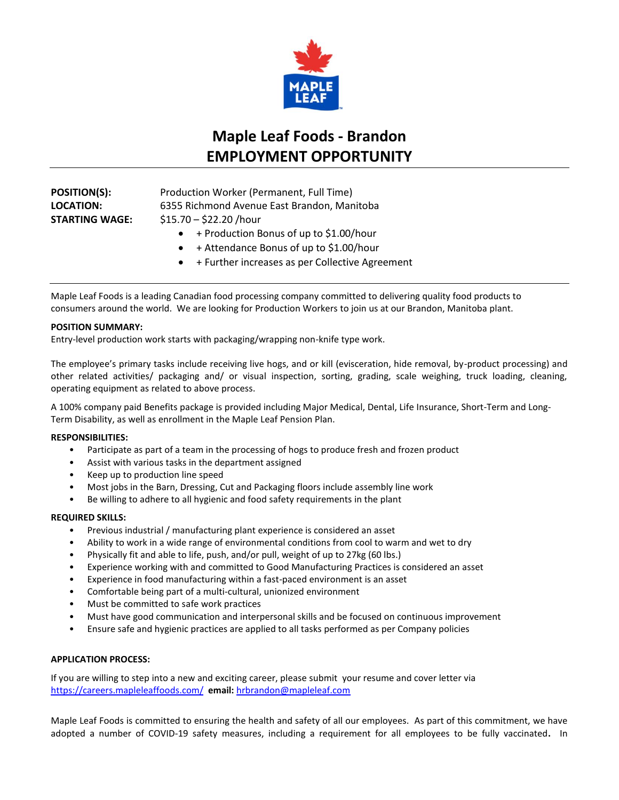

# **Maple Leaf Foods - Brandon EMPLOYMENT OPPORTUNITY**

**POSITION(S):** Production Worker (Permanent, Full Time) **LOCATION:** 6355 Richmond Avenue East Brandon, Manitoba **STARTING WAGE:** \$15.70 – \$22.20 /hour

- + Production Bonus of up to \$1.00/hour
- + Attendance Bonus of up to \$1.00/hour
- + Further increases as per Collective Agreement

Maple Leaf Foods is a leading Canadian food processing company committed to delivering quality food products to consumers around the world. We are looking for Production Workers to join us at our Brandon, Manitoba plant.

## **POSITION SUMMARY:**

Entry-level production work starts with packaging/wrapping non-knife type work.

The employee's primary tasks include receiving live hogs, and or kill (evisceration, hide removal, by-product processing) and other related activities/ packaging and/ or visual inspection, sorting, grading, scale weighing, truck loading, cleaning, operating equipment as related to above process.

A 100% company paid Benefits package is provided including Major Medical, Dental, Life Insurance, Short-Term and Long-Term Disability, as well as enrollment in the Maple Leaf Pension Plan.

### **RESPONSIBILITIES:**

- Participate as part of a team in the processing of hogs to produce fresh and frozen product
- Assist with various tasks in the department assigned
- Keep up to production line speed
- Most jobs in the Barn, Dressing, Cut and Packaging floors include assembly line work
- Be willing to adhere to all hygienic and food safety requirements in the plant

### **REQUIRED SKILLS:**

- Previous industrial / manufacturing plant experience is considered an asset
- Ability to work in a wide range of environmental conditions from cool to warm and wet to dry
- Physically fit and able to life, push, and/or pull, weight of up to 27kg (60 lbs.)
- Experience working with and committed to Good Manufacturing Practices is considered an asset
- Experience in food manufacturing within a fast-paced environment is an asset
- Comfortable being part of a multi-cultural, unionized environment
- Must be committed to safe work practices
- Must have good communication and interpersonal skills and be focused on continuous improvement
- Ensure safe and hygienic practices are applied to all tasks performed as per Company policies

### **APPLICATION PROCESS:**

If you are willing to step into a new and exciting career, please submit your resume and cover letter via [https://careers.mapleleaffoods.com/](https://can01.safelinks.protection.outlook.com/?url=https%3A%2F%2Fcareers.mapleleaffoods.com%2F&data=04%7C01%7Csangeetha.kavasserisadasivan%40mapleleaf.com%7Cfc84d79e6c1b48daab7c08d9368a1057%7C9a1598925bf843ff9476c3abb9cca801%7C0%7C0%7C637600788877416627%7CUnknown%7CTWFpbGZsb3d8eyJWIjoiMC4wLjAwMDAiLCJQIjoiV2luMzIiLCJBTiI6Ik1haWwiLCJXVCI6Mn0%3D%7C1000&sdata=baPplWKJB2LnE0siXurNmC7JDOZFRNXrqfTfQGF8Las%3D&reserved=0) **email:** [hrbrandon@mapleleaf.com](mailto:hrbrandon@mapleleaf.com)

Maple Leaf Foods is committed to ensuring the health and safety of all our employees. As part of this commitment, we have adopted a number of COVID-19 safety measures, including a requirement for all employees to be fully vaccinated**.** In